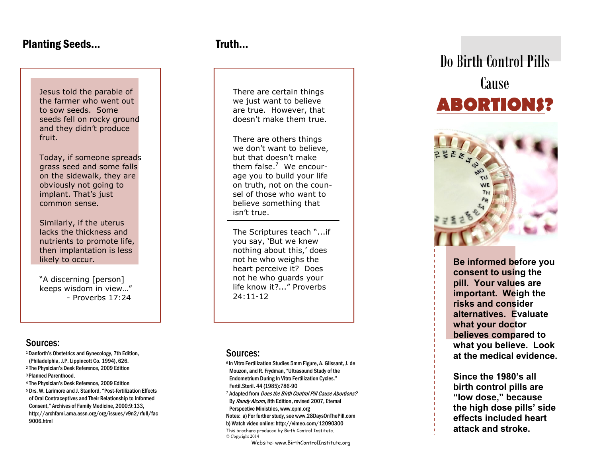## Planting Seeds...

Jesus told the parable of the farmer who went out to sow seeds. Some seeds fell on rocky ground and they didn't produce fruit.

Today, if someone spreads grass seed and some falls on the sidewalk, they are obviously not going to implant. That's just common sense.

Similarly, if the uterus lacks the thickness and nutrients to promote life, then implantation is less likely to occur.

"A discerning [person] keeps wisdom in view…" - Proverbs 17:24

### Sources:

<sup>1</sup>Danforth's Obstetrics and Gynecology, 7th Edition, (Philadelphia, J.P. Lippincott Co. 1994), 626. <sup>2</sup> The Physician's Desk Reference, 2009 Edition <sup>3</sup>Planned Parenthood. <sup>4</sup> The Physician's Desk Reference, 2009 Edition <sup>5</sup> Drs. W. Larimore and J. Stanford, "Post-fertilization Effects of Oral Contraceptives and Their Relationship to Informed Consent," Archives of Family Medicine, 2000:9:133, http://archfami.ama.assn.org/org/issues/v9n2/rfull/fac 9006.html

# **Truth**

There are certain things we just want to believe are true. However, that doesn't make them true.

There are others things we don't want to believe, but that doesn't make them false.<sup>7</sup> We encourage you to build your life on truth, not on the counsel of those who want to believe something that isn't true.

The Scriptures teach "...if you say, 'But we knew nothing about this,' does not he who weighs the heart perceive it? Does not he who guards your life know it?..." Proverbs 24:11-12

#### Sources:

<sup>6</sup>In Vitro Fertilization Studies 5mm Figure, A. Glissant, J. de Mouzon, and R. Frydman, "Ultrasound Study of the Endometrium During In Vitro Fertilization Cycles." Fertil.Steril. 44 (1985):786-90 <sup>7</sup> Adapted from *Does the Birth Control Pill Cause Abortions?* By Randy Alcorn, 8th Edition, revised 2007, Eternal Perspective Ministries, www.epm.org Notes: a) For further study, see www.28DaysOnThePill.com b) Watch video online: http://vimeo.com/12090300 This brochure produced by Birth Control Institute. © Copyright 2014

Website: www.BirthControlInstitute.org

# Do Birth Control Pills Cause **ABORTIONS?**



**Be informed before you consent to using the pill. Your values are important. Weigh the risks and consider alternatives. Evaluate what your doctor believes compared to what you believe. Look at the medical evidence.** 

**Since the 1980's all birth control pills are "low dose," because the high dose pills' side effects included heart attack and stroke.**